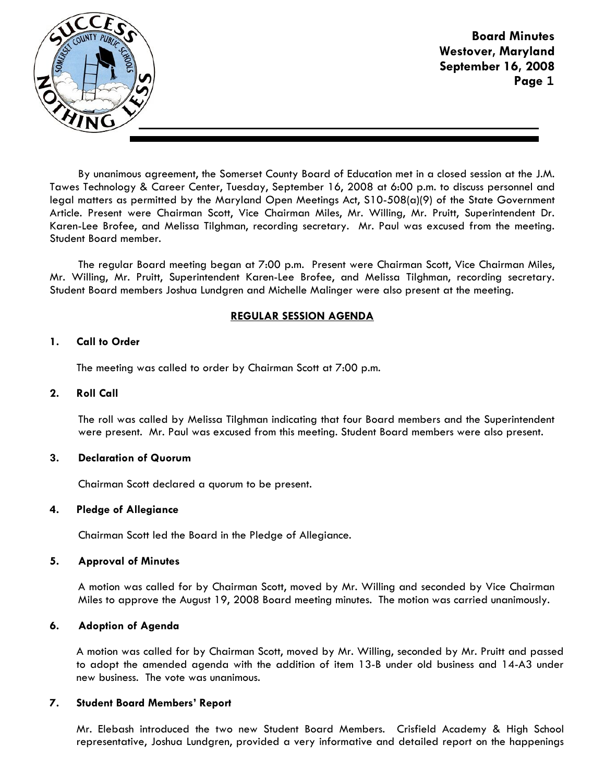

Board Minutes Westover, Maryland September 16, 2008 Page **1**

By unanimous agreement, the Somerset County Board of Education met in a closed session at the J.M. Tawes Technology & Career Center, Tuesday, September 16, 2008 at 6:00 p.m. to discuss personnel and legal matters as permitted by the Maryland Open Meetings Act, S10-508(a)(9) of the State Government Article. Present were Chairman Scott, Vice Chairman Miles, Mr. Willing, Mr. Pruitt, Superintendent Dr. Karen-Lee Brofee, and Melissa Tilghman, recording secretary. Mr. Paul was excused from the meeting. Student Board member.

The regular Board meeting began at 7:00 p.m. Present were Chairman Scott, Vice Chairman Miles, Mr. Willing, Mr. Pruitt, Superintendent Karen-Lee Brofee, and Melissa Tilghman, recording secretary. Student Board members Joshua Lundgren and Michelle Malinger were also present at the meeting.

# REGULAR SESSION AGENDA

## 1. Call to Order

The meeting was called to order by Chairman Scott at 7:00 p.m.

## 2. Roll Call

The roll was called by Melissa Tilghman indicating that four Board members and the Superintendent were present. Mr. Paul was excused from this meeting. Student Board members were also present.

### 3. Declaration of Quorum

Chairman Scott declared a quorum to be present.

#### 4. Pledge of Allegiance

Chairman Scott led the Board in the Pledge of Allegiance.

#### 5. Approval of Minutes

A motion was called for by Chairman Scott, moved by Mr. Willing and seconded by Vice Chairman Miles to approve the August 19, 2008 Board meeting minutes. The motion was carried unanimously.

## 6. Adoption of Agenda

 A motion was called for by Chairman Scott, moved by Mr. Willing, seconded by Mr. Pruitt and passed to adopt the amended agenda with the addition of item 13-B under old business and 14-A3 under new business. The vote was unanimous.

#### 7. Student Board Members' Report

Mr. Elebash introduced the two new Student Board Members. Crisfield Academy & High School representative, Joshua Lundgren, provided a very informative and detailed report on the happenings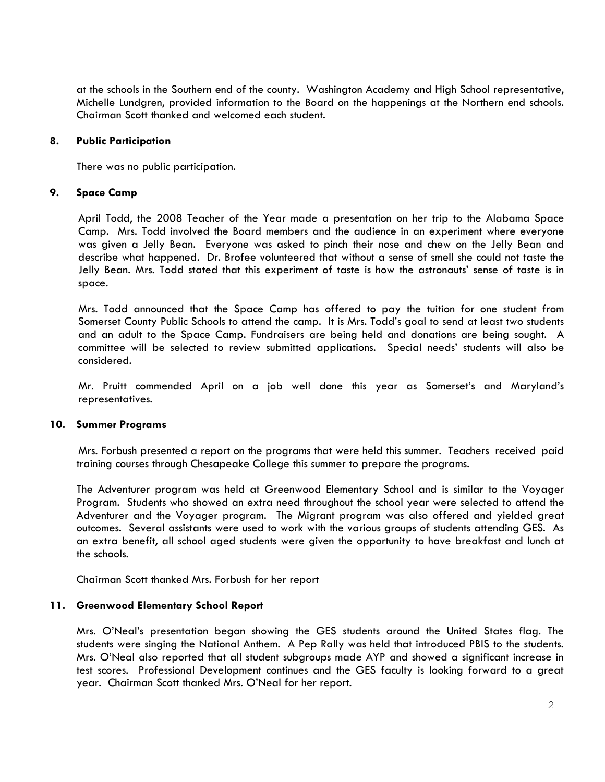at the schools in the Southern end of the county. Washington Academy and High School representative, Michelle Lundgren, provided information to the Board on the happenings at the Northern end schools. Chairman Scott thanked and welcomed each student.

## 8. Public Participation

There was no public participation.

## 9. Space Camp

 April Todd, the 2008 Teacher of the Year made a presentation on her trip to the Alabama Space Camp. Mrs. Todd involved the Board members and the audience in an experiment where everyone was given a Jelly Bean. Everyone was asked to pinch their nose and chew on the Jelly Bean and describe what happened. Dr. Brofee volunteered that without a sense of smell she could not taste the Jelly Bean. Mrs. Todd stated that this experiment of taste is how the astronauts' sense of taste is in space.

 Mrs. Todd announced that the Space Camp has offered to pay the tuition for one student from Somerset County Public Schools to attend the camp. It is Mrs. Todd's goal to send at least two students and an adult to the Space Camp. Fundraisers are being held and donations are being sought. A committee will be selected to review submitted applications. Special needs' students will also be considered.

 Mr. Pruitt commended April on a job well done this year as Somerset's and Maryland's representatives.

#### 10. Summer Programs

 Mrs. Forbush presented a report on the programs that were held this summer. Teachers received paid training courses through Chesapeake College this summer to prepare the programs.

The Adventurer program was held at Greenwood Elementary School and is similar to the Voyager Program. Students who showed an extra need throughout the school year were selected to attend the Adventurer and the Voyager program. The Migrant program was also offered and yielded great outcomes. Several assistants were used to work with the various groups of students attending GES. As an extra benefit, all school aged students were given the opportunity to have breakfast and lunch at the schools.

Chairman Scott thanked Mrs. Forbush for her report

## 11. Greenwood Elementary School Report

Mrs. O'Neal's presentation began showing the GES students around the United States flag. The students were singing the National Anthem. A Pep Rally was held that introduced PBIS to the students. Mrs. O'Neal also reported that all student subgroups made AYP and showed a significant increase in test scores. Professional Development continues and the GES faculty is looking forward to a great year. Chairman Scott thanked Mrs. O'Neal for her report.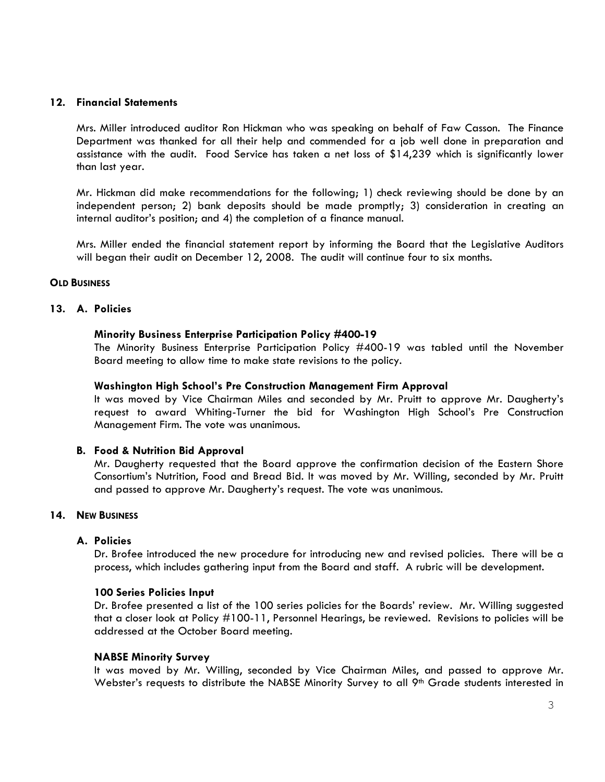## 12. Financial Statements

Mrs. Miller introduced auditor Ron Hickman who was speaking on behalf of Faw Casson. The Finance Department was thanked for all their help and commended for a job well done in preparation and assistance with the audit. Food Service has taken a net loss of \$14,239 which is significantly lower than last year.

Mr. Hickman did make recommendations for the following; 1) check reviewing should be done by an independent person; 2) bank deposits should be made promptly; 3) consideration in creating an internal auditor's position; and 4) the completion of a finance manual.

Mrs. Miller ended the financial statement report by informing the Board that the Legislative Auditors will began their audit on December 12, 2008. The audit will continue four to six months.

### **OLD BUSINESS**

## 13. A. Policies

### Minority Business Enterprise Participation Policy #400-19

The Minority Business Enterprise Participation Policy #400-19 was tabled until the November Board meeting to allow time to make state revisions to the policy.

### Washington High School's Pre Construction Management Firm Approval

It was moved by Vice Chairman Miles and seconded by Mr. Pruitt to approve Mr. Daugherty's request to award Whiting-Turner the bid for Washington High School's Pre Construction Management Firm. The vote was unanimous.

#### B. Food & Nutrition Bid Approval

Mr. Daugherty requested that the Board approve the confirmation decision of the Eastern Shore Consortium's Nutrition, Food and Bread Bid. It was moved by Mr. Willing, seconded by Mr. Pruitt and passed to approve Mr. Daugherty's request. The vote was unanimous.

#### 14. NEW BUSINESS

### A. Policies

Dr. Brofee introduced the new procedure for introducing new and revised policies. There will be a process, which includes gathering input from the Board and staff. A rubric will be development.

#### 100 Series Policies Input

Dr. Brofee presented a list of the 100 series policies for the Boards' review. Mr. Willing suggested that a closer look at Policy #100-11, Personnel Hearings, be reviewed. Revisions to policies will be addressed at the October Board meeting.

#### NABSE Minority Survey

It was moved by Mr. Willing, seconded by Vice Chairman Miles, and passed to approve Mr. Webster's requests to distribute the NABSE Minority Survey to all 9<sup>th</sup> Grade students interested in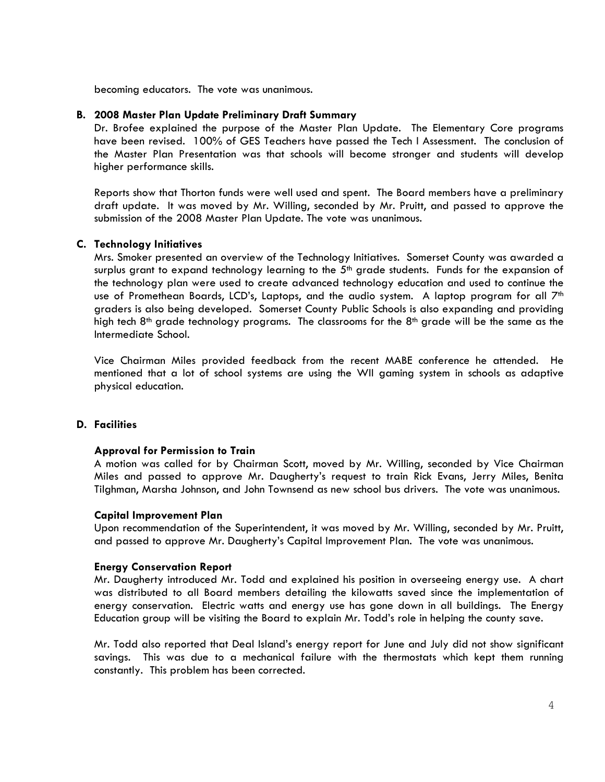becoming educators. The vote was unanimous.

## B. 2008 Master Plan Update Preliminary Draft Summary

Dr. Brofee explained the purpose of the Master Plan Update. The Elementary Core programs have been revised. 100% of GES Teachers have passed the Tech I Assessment. The conclusion of the Master Plan Presentation was that schools will become stronger and students will develop higher performance skills.

Reports show that Thorton funds were well used and spent. The Board members have a preliminary draft update. It was moved by Mr. Willing, seconded by Mr. Pruitt, and passed to approve the submission of the 2008 Master Plan Update. The vote was unanimous.

## C. Technology Initiatives

Mrs. Smoker presented an overview of the Technology Initiatives. Somerset County was awarded a surplus grant to expand technology learning to the  $5<sup>th</sup>$  grade students. Funds for the expansion of the technology plan were used to create advanced technology education and used to continue the use of Promethean Boards, LCD's, Laptops, and the audio system. A laptop program for all  $7<sup>th</sup>$ graders is also being developed. Somerset County Public Schools is also expanding and providing high tech  $8<sup>th</sup>$  grade technology programs. The classrooms for the  $8<sup>th</sup>$  grade will be the same as the Intermediate School.

Vice Chairman Miles provided feedback from the recent MABE conference he attended. He mentioned that a lot of school systems are using the WII gaming system in schools as adaptive physical education.

## D. Facilities

## Approval for Permission to Train

A motion was called for by Chairman Scott, moved by Mr. Willing, seconded by Vice Chairman Miles and passed to approve Mr. Daugherty's request to train Rick Evans, Jerry Miles, Benita Tilghman, Marsha Johnson, and John Townsend as new school bus drivers. The vote was unanimous.

#### Capital Improvement Plan

Upon recommendation of the Superintendent, it was moved by Mr. Willing, seconded by Mr. Pruitt, and passed to approve Mr. Daugherty's Capital Improvement Plan. The vote was unanimous.

#### Energy Conservation Report

Mr. Daugherty introduced Mr. Todd and explained his position in overseeing energy use. A chart was distributed to all Board members detailing the kilowatts saved since the implementation of energy conservation. Electric watts and energy use has gone down in all buildings. The Energy Education group will be visiting the Board to explain Mr. Todd's role in helping the county save.

Mr. Todd also reported that Deal Island's energy report for June and July did not show significant savings. This was due to a mechanical failure with the thermostats which kept them running constantly. This problem has been corrected.